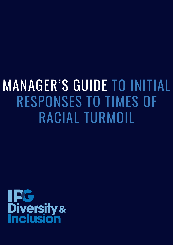# MANAGER'S GUIDE TO INITIAL RESPONSES TO TIMES OF RACIAL TURMOIL

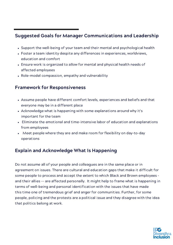# Suggested Goals for Manager Communications and Leadership

- Support the well-being of your team and their mental and psychological health
- Foster a team identity despite any differences in experiences, worldviews, education and comfort
- Ensure work is organized to allow for mental and physical health needs of affected employees
- Role-model compassion, empathy and vulnerability

## Framework for Responsiveness

- Assume people have different comfort levels, experiences and beliefs and that everyone may be in a different place
- Acknowledge what is happening with some explanations around why it's important for the team
- Eliminate the emotional and time-intensive labor of education and explanations from employees
- Meet people where they are and make room for flexibility on day-to-day operations

## Explain and Acknowledge What Is Happening

Do not assume all of your people and colleagues are in the same place or in agreement on issues. There are cultural and education gaps that make it difficult for some people to process and accept the extent to which Black and Brown employees – and their allies -- are affected personally. It might help to frame what is happening in terms of well-being and personal identification with the issues that have made this time one of tremendous grief and anger for communities. Further, for some people, policing and the protests are a political issue and they disagree with the idea that politics belong at work.

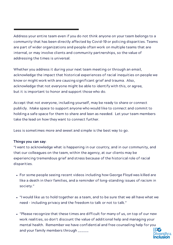## Address your entire team even if you do not think anyone on your team belongs to a community that has been directly affected by Covid-19 or policing disparities. Teams are part of wider organizations and people often work on multiple teams that are internal, or may involve clients and community partnerships, so the value of addressing the times is universal.

Whether you address it during your next team meeting or through an email, acknowledge the impact that historical experiences of racial inequities on people we know or might work with are causing significant grief and trauma. Also, acknowledge that not everyone might be able to identify with this, or agree, but it is important to honor and support those who do.

Accept that not everyone, including yourself, may be ready to share or connect publicly. Make space to support anyone who would like to connect and commit to holding a safe space for them to share and lean as needed. Let your team members take the lead on how they want to connect further.

Less is sometimes more and sweet and simple is the best way to go.

#### Things you can say:

"I want to acknowledge what is happening in our country, and in our community, and that our colleagues on the team, within the agency, at our clients may be experiencing tremendous grief and stress because of the historical role of racial disparities.

- For some people seeing recent videos including how George Floyd was killed are like a death in their families, and a reminder of long-standing issues of racism in society."
- "I would like us to hold together as a team, and to be sure that we all have what we need – including privacy and the freedom to talk or not to talk."
- "Please recognize that these times are difficult for many of us, on top of our new work realities, so don't discount the value of additional help and managing your mental health. Remember we have confidential and free counseling help for you and your family members through \_\_\_\_\_\_

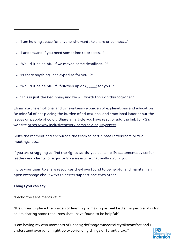- "I am holding space for anyone who wants to share or connect…"
- "I understand if you need some time to process…"
- "Would it be helpful if we moved some deadlines…?"
- "Is there anything I can expedite for you…?"
- "Would it be helpful if I followed up on (\_\_\_\_\_) for you…"
- "This is just the beginning and we will worth through this together."

Eliminate the emotional and time-intensive burden of explanations and education Be mindful of not placing the burden of educational and emotional labor about the issues on people of color. Share an article you have read, or add the link to IPG's website [https://www.inclusiveatwork.com/racialequitycenter.](https://www.inclusiveatwork.com/racialequitycenter)

Seize the moment and encourage the team to participate in webinars, virtual meetings, etc..

If you are struggling to find the rights words, you can amplify statements by senior leaders and clients, or a quote from an article that really struck you.

Invite your team to share resources theyhave found to be helpful and maintain an open exchange about ways to better support one each other.

#### Things you can say:

"I echo the sentiments of…"

"It's unfair to place the burden of learning or making us feel better on people of color so I'm sharing some resources that I have found to be helpful:"

"I am having my own moments of upset/grief/anger/uncertainty/discomfort and I understand everyone might be experiencing things differently too."

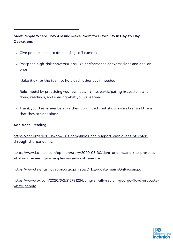### Meet People Where They Are and Make Room for Flexibility in Day-to-Day **Operations**

- Give people space to do meetings off camera
- Postpone high-risk conversations like performance conversations and one-onones
- Make it ok for the team to help each other out if needed
- Role-model by practicing your own down-time, participating in sessions and doing readings, and sharing what you've learned
- Thank your team members for their continued contributions and remind them that they are not alone.

#### Additional Reading:

[https://hbr.org/2020/05/how-u-s-companies-can-support-employees-of-color](https://hbr.org/2020/05/how-u-s-companies-can-support-employees-of-color-through-the-pandemic)through-the-pandemic

[https://www.latimes.com/opinion/story/2020-05-30/dont-understand-the-protests](https://www.latimes.com/opinion/story/2020-05-30/dont-understand-the-protests-what-youre-seeing-is-people-pushed-to-the-edge)what-youre-seeing-is-people-pushed-to-the-edge

[https://www.talentinnovation.org/\\_private/CTI\\_EducateTeamsOnRacism.pdf](https://www.talentinnovation.org/_private/CTI_EducateTeamsOnRacism.pdf)

[https://www.vox.com/2020/6/2/21278123/being-an-ally-racism-george-floyd-protests](https://www.vox.com/2020/6/2/21278123/being-an-ally-racism-george-floyd-protests-white-people)white-people